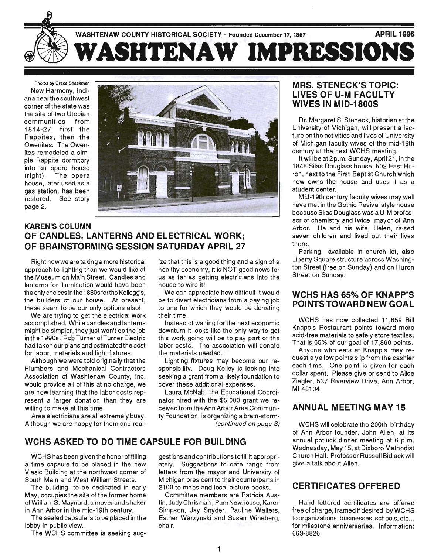

Photos by Grace Shackman New Harmony, Indiana nearthe southwest corner of the state was the site of two Utopian communities from 1814-27, first the Rappites, then the Owenites. The Owenites remodeled a simple Rappite dormitory into an opera house (right). The opera house, later used as a gas station, has been restored. See story page 2.



## KAREN'S COLUMN OF CANDLES, LANTERNS AND ELECTRICAL WORK; OF BRAINSTORMING SESSION SATURDAY APRIL 27

Right nowwe aretaking a more historical approach to lighting than we would like at the Museum on Main Street. Candles and lanterns for illumination would have been the only choices in the 1830sforthe Kellogg's, the builders of our house. At present, these seem to be our only options also!

We are trying to get the electrical work accomplished. While candles and lanterns might be simpler, they just won't do the job . in the 19905. Rob Turner of Turner Electric had taken our plans and estimated the cost for labor, materials and light fixtures.

Although we were told originally that the Plumbers and Mechanical Contractors Association of Washtenaw County, Inc. would provide all of this at no charge, we are now learning that the labor costs represent a larger donation than they are willing to make at this time.

Area electricians are all extremely busy. Although we are happy for them and realize that this is a good thing and a sign of a healthy economy, it is NOT good news for us as far as getting electricians into the house to wire it!

We can appreciate how difficult it would be to divert electricians from a paying job to one for which they would be donating their time.

Instead of waiting for the next economic downturn it looks like the only way to get this work going will be to pay part of the labor costs. The association will donate the materials needed.

Lighting fixtures may become our responsibility. Doug Kelley is looking into seeking a grant from a likely foundation to cover these additional expenses.

Laura McNab, the Educational Coordinator hired with the \$5,000 grant we received from the Ann Arbor Area Community Foundation, is organizing a brain-storm- (continued on page 3)

## WCHS ASKED TO DO TIME CAPSULE FOR BUILDING

WCHS has been given the honor of filling a time capsule to be placed in the new Vlasic Building at the northwest corner of South Main and West William Streets.

The building, to be dedicated in early May, occupies the site of the former home of William S. Maynard, a mover and shaker in Ann Arbor in the mid-19th century.

The sealed capsule is to be placed in the lobby in public view.

The WCHS committee is seeking sug-

gestions and contributions to fill it appropriately. Suggestions to date range from letters from the mayor and University of Michigan president to their counterparts in 2100 to maps and local picture books.

Committee members are Patricia Austin, Judy Chrisman, Pam Newhouse, Karen Simpson, Jay Snyder, Pauline Walters, Esther Warzynski and Susan Wineberg, chair.

## MRS. STENECK'S TOPIC: LIVES OF U-M FACULTY WIVES IN MID-1800S

Dr. Margaret S. Steneck, historian at the University of Michigan, will present a lecture on the activities and lives of University of Michigan faculty wives of the mid-19th century at the next WCHS meeting.

It will be at 2p.m. Sunday, April21 , in the 1848 Silas Douglass house, 502 East Huron, next to the First Baptist Church which now owns the house and uses it as a student center...

Mid-19th century faculty wives may well have met in the Gothic Revival style house because Silas Douglass was a U-M professor of chemistry and twice mayor of Ann Arbor. He and his wife, Helen, raised seven children and lived out their lives there.

Parking available in church lot, also Liberty Square structure across Washington Street (free on Sunday) and on Huron Street on Sunday.

### WCHS HAS 65% OF KNAPP'S POINTS TOWARD NEW GOAL

WCHS has now collected 11,659 Bill Knapp's Restaurant points toward more acid-free materials to safely store textiles . . That is 65% of our goal of 17,860 points.

Anyone who eats at Knapp's may request a yellow points slip from the cashier each time. One point is given for each dollar spent. Please give or send to Alice Ziegler, 537 Riverview Drive, Ann Arbor, M148104.

## ANNUAL MEETING MAY 15

WCHS will celebrate the 200th birthday of Ann Arbor founder, John Allen, at its annual potluck dinner meeting at 6 p.m. Wednesday, May 15, at Dixboro Methodist Church Hall. Professor Russell Bidlackwill give a talk about Allen.

## CERTIFICATES OFFERED

Hand lettered certificates are offered free of charge, framed if desired, by WCHS to organizations, businesses, schools, etc... for milestone anniversaries. Information: 663-8826.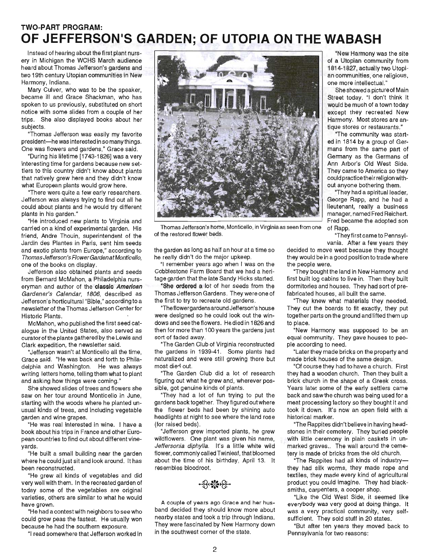# **TWO-PART PROGRAM: OF JEFFERSON'S GARDEN; OF UTOPIA ON THE WABASH**

Instead of hearing about the first plant nursery in Michigan the WCHS March audience heard about Thomas Jefferson's gardens and two 19th century Utopian communities in New Harmony, Indiana.

Mary Culver, who was to be the speaker, became ill and Grace Shackman, who has spoken to us previously, substituted on short notice with some slides from a couple of her trips. She also displayed books about her subjects.

"Thomas Jefferson was easily my favorite president-he was interested in so many things. One was flowers and gardens," Grace said.

"During his lifetime [1743-1826] was a very interesting time for gardens because new settlers to this country didn't know about plants that natively grew here and they didn't know what European plants would grow here.

"There were quite a few early researchers. Jefferson was always trying to find out all he could about plants and he would try different plants in his garden."

"He introduced new plants to Virginia and carried on a kind of experimental garden. His friend, Andre Thouin, superintendent of the Jardin des Plantes in Paris, sent him seeds and exotic plants from Europe," according to Thomas Jefferson's FlowerGarden at Monticello, one of the books on display.

Jefferson also obtained plants and seeds from Bernard McMahon, a Philadelphia nurseryman and author of the classic American Gardener's Calendar, 1806, described as Jefferson's horticultural "Bible," according to a newsletter of the Thomas Jefferson Center for Historic Plants.

McMahon, who published the first seed catalogue in the United States, also served as curator of the plants gathered by the Lewis and Clark expedition, the newsletter said.

"Jefferson wasn't at Monticello all the time, Grace said. "He was back and forth to Philadelphia and Washington. He was always writing letters home, telling them what to plant and asking how things were coming."

She showed slides of trees and flowers she saw on her tour around Monticello in June, starting with the woods where he planted unusual kinds of trees, and including vegetable garden and wine grapes.

"He was real interested in wine. I have a book about his trips in France and other European countries to find out about different vineyards.

"He built a small building near the garden where he could just sit and look around. It has been reconstructed.

"He grew all kinds of vegetables and did very well with them. In the recreated garden of today some of the vegetables are original varieties, others are similar to what he would have grown.

"He had a contest with neighbors to see who could grow peas the fastest. He usually won because he had the southern exposure.

"I read somewhere that Jefferson worked in



Thomas Jefferson's home, Monticello, in Virginia as seen from one of Rapp. of the restored flower beds. "They first came to Pennsyl-

the garden as long as half an hour at a time so he really didn't do the major upkeep.

"I remember years ago when I was on the Cobblestone Farm Board that we had a heritage garden that the late Sandy Hicks started.

"She ordered a lot of her seeds from the Thomas Jefferson Gardens. They were one of the first to try to recreate old gardens.

"The flower gardens around Jefferson's house were designed so he could look out the windows and see the flowers. He died in 1826 and then for more than 100 years the gardens just sort of faded away.

"The Garden Club of Virginia reconstructed the gardens in 1939-41. Some plants had naturalized and were still growing there but most died out.

"The Garden Club did a lot of research figuring out what he grew and, wherever possible, got genuine kinds of plants.

"They had a lot of fun trying to put the gardens back together. They figured out where the flower beds had been by shining auto headlights at night to see where the land rose (for raised beds).

"Jefferson grew imported plants, he grew wildflowers. One plant was given his name, Jeffersonia diphylla. It's a little white wild flower, commonly called Twinleaf, that bloomed about the time of his birthday, April 13. It resembles bloodroot.

A couple of years ago Grace and her husband decided they should know more about nearby states and took a trip through Indiana. They were fascinated by New Harmony down in the southwest corner of the state.

"New Harmony was the site of a Utopian community from 1814-1827, actually two Utopian communities, one religious, one more intellectual."

She showed a pictureof Main Street today. "I don't think it would be much of a town today except they recreated New Harmony. Most stores are antique stores or restaurants."

"The community was started in 1814 by a group of Germans from the same part of Germany as the Germans of Ann Arbor's Old West Side. They came to America so they could practice their religion without anyone bothering them.

"They had a spiritual leader, George Rapp, and he had a lieutenant, really a business manager, named Fred Reichert. Fred became the adopted son

vania. After a few years they decided to move west because they thought they would be in a good position to trade where the people were.

"They bought the land in New Harmony and first built log cabins to live in. Then they built dormitories and houses. They had sort of prefabricated houses, all built the same.

"They knew what materials they needed. They cut the boards to fit exactly, they put together parts on the ground and lifted them up to place.

"New Harmony was supposed to be an equal community. They gave houses to people according to need.

"Later they made bricks on the property and made brick houses of the same design.

"Of course they had to have a church. First they had a wooden church. Then they built a brick church in the shape of a Greek cross. Years later some of the early settlers came back and saw the church was being used for a meat processing factory so they bought it and took it down. It's now an open field with a historical marker.

"The Rappites didn't believe in having headstones in their cemetery. They buried people with little ceremony in plain caskets in unmarked graves .. The wall around the cemetery is made of bricks from the old church.

"The Rappites had all kinds of industrythey had silk worms, they made rope and textiles, they made every kind of agricultural product you could imagine. They had blacksmiths, carpenters, a cooper shop.

"Like the Old West Side, it seemed like everybody was very good at doing things. It was a very practical community, very selfsufficient. They sold stuff in 20 states.

"But after ten years they moved back to Pennsylvania for two reasons: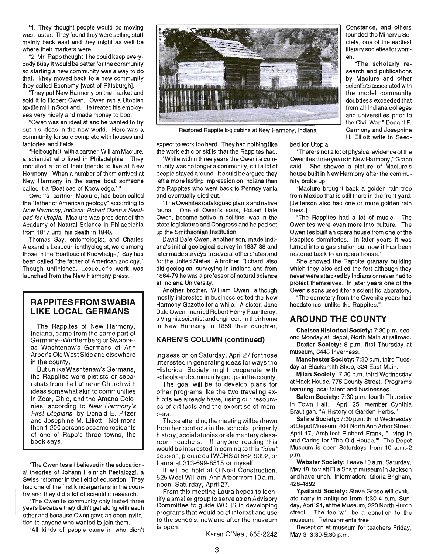"1. They thought people would be moving west faster. They found they were selling stuff mainly back east and they might as well be where their markets were.

"2. Mr. Rapp thought if he could keep everybody busy it would be better for the community so starting a new community was a way to do that. They moved back to a new community they called Economy [west of Pittsburgh].

"They put New Harmony on the market and sold it to Robert Owen. Owen ran a Utopian textile mill in Scotland. He treated his employees very nicely and made money to boot.

"Owen was an idealist and he wanted to try out his ideas in the new world. Here was a community for sale complete with houses and factories and fields.

"He bought it. with a partner, William Maclure, a scientist who lived in Philadelphia. They recruited a lot of their friends to live at New Harmony. When a number of them arrived at New Harmony in the same boat someone called it a 'Boatload of Knowledge.'

Owen's partner, Maclure, has been called the "father of American geology" according to New Harmony, Indiana: Robert Owen's Seedbed for Utopia. Maclure was president of the Academy of Natural Science in Philadelphia from 1817 until his death in 1840.

Thomas Say, entomologist, and Charles AI exandre Lesueur, ichthyologist, were among those in the 'Boatload of Knowledge,' Say has been called "the father of American zoology." Though unfinished, Lesueuer's work was launched from the New Harmony press.

### **RAPPITES FROM SWABIA LIKE LOCAL GERMANS**

The Rappites of New Harmony, Indiana, came from the same part of Germany--Wurttemberg or Swabia- as Washtenaw's Germans of Ann Arbor's Old West Side and elsewhere in the county.

But unlike Washtenaw's Germans, the Rappites were pietists or separatists from the Lutheran Church with ideas somewhat akin to communities in Zoar, Ohio, and the Amana Colonies, according to New Harmony's First Utopians, by Donald E. Pitzer and Josephine M. Elliott. Not more than 1,200 persons became residents of one of Rapp's three towns, the book says .

"The Owenites all believed in the educational theories of Johann Heinrich Pestalozzi, a Swiss reformer in the field of education. They had one of the first kindergartens in the country and they did a lot of scientific research.

"The Owenite community only lasted three years because they didn't get along with each other and because Owen gave an open invitation to anyone who wanted to join them.

"All kinds of people came in who didn't



Restored Rappite log cabins at New Harmony, Indiana.

expect to work too hard. They had nothing like the work ethic or skills that the Rappites had.

"While within three years the Owenite community was no longer a community, still a lot of people stayed around. It could be argued they left a more lasting impression on Indiana than the Rappites who went back to Pennsylvania and eventually died out.

"The Owenites catalogued plants and native fauna. One of Owen's sons, Robert Dale Owen, became active in politics, was in the state legislature and Congress and helped set up the Smithsonian Institution.

David Dale Owen, another son, made Indiana's initial geological survey in 1837-38 and later made surveys in several other states and for the United States. A brother, Richard, also did geological surveying in Indiana and from 1864-79 he was a professor of natural science at Indiana University.

Another brother, William Owen, although mostly interested in business edited the New Harmony Gazette for a while. A sister, Jane Dale Owen, married Robert Henry Fauntleroy, a Virginia scientist and engineer. In their home in New Harmony in 1859 their daughter,

#### KAREN'S COLUMN (continued)

ing session on Saturday, April 27 for those interested in generating ideas for ways the Historical Society might cooperate with schools and community groups in the county.

The goal will be to develop plans for other programs like the two traveling exhibits we already have, using our resources of artifacts and the expertise of members .

Those attending the meeting will be drawn from her contacts in the schools , primarily history, social studies or elementary classroom teachers. If anyone reading this would be interested in coming tothis "idea" session , please callWCHS at 662-9092, or Laura at 313-699-8515 or myself.

It will be held at O'Neal Construction, 525 West William, Ann Arborfrom 10 a.m. noon, Saturday, April 27.

From this meeting Laura hopes to identify a smaller group to serve as an Advisory Committee to guide WCHS in developing programs that would be of interest and use to the schools, now and after the museum is open.

Karen O'Neal, 665-2242

Constance, and others founded the Minerva Society, one of the earliest literary societies forwomen.

"The scholarly research and publications by Maclure and other scientists associated with the model community doubtless exceeded that from all Indiana colleges and universities prior to the Civil War," Donald F. Carmony and Josephine H. Elliott write in Seed-

bed for Utopia.

"There is not a lot of physical evidence of the Owenites three years in New Harmony," Grace said. She showed a picture of Maclure's house built in New Harmony after the community broke up.

"Maclure brought back a golden rain tree from Mexico that is still there in the front yard. [Jefferson also had one or more golden rain trees.]

"The Rappites had a lot of music. The Owenites were even more into culture. The Owenites built an opera house from one of the Rappites dormitories. In later years it was turned into a gas station but now it has been restored back to an opera house."

She showed the Rappite granary building which they also called the fort although they never were attacked by Indians or never had to protect themselves. In later years one of the Owen's sons used it for a scientific laboratory.

"The cemetery from the Owenite years had headstones unlike the Rappites."

### **AROUND THE COUNTY**

Chelsea Historical Society: 7:30 p.m. second Monday at depot, North Main at railroad.

Dexter Society: 8 p.m. first Thursday at museum, 3443 Inverness.

Manchester Society: 7:30 p.m. third Tuesday at Blacksmith Shop, 324 East Main.

Milan Society: 7:30 p.m. third Wednesday at Hack House, 775 County Street. Programs featuring local talent and businesses.

Salem Society: 7:30 p.m. fourth Thursday in Town Hall. April 25, member Cynthia Brautigan, "A History of Garden Herbs."

Saline Society: 7:30 p.m. third Wednesday at Depot Museum, 401 North Ann Arbor Street. April 17, Architect Richard Frank, "Uving In and Caring for 'The Old House.'" The Depot Museum is open Saturdays from 10 a.m.-2 p.m.

Webster Society: Leave 10 a.m. Saturday, May 18, to visit Ella Sharp museum in Jackson and have lunch. Information: Gloria Brigham, 426-4892.

Ypsilanti Society: Steve Grose will evaluate carry-in antiques from 1 :30-4 p.m. Sunday, April 21, at the Museum, 220 North Huron street. The fee will be a donation to the museum. Refreshments free.

Reception at museum for teachers Friday, May 3, 3:30-5:30 p.m.